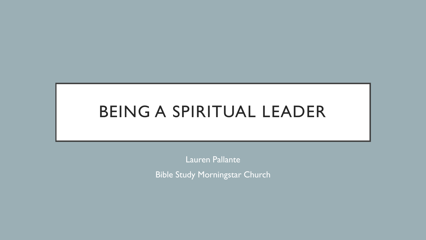# BEING A SPIRITUAL LEADER

Lauren Pallante

Bible Study Morningstar Church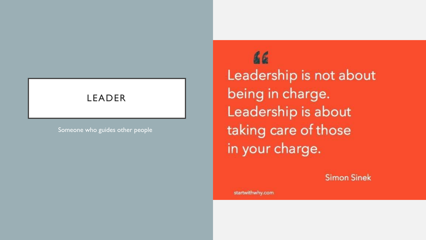#### LEADER

Someone who guides other people

66 Leadership is not about being in charge. Leadership is about taking care of those in your charge.

**Simon Sinek** 

startwithwhy.com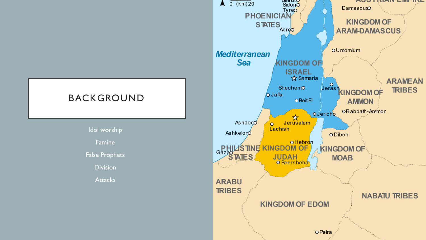

Idol worship Famine False Prophets **Division Attacks** 

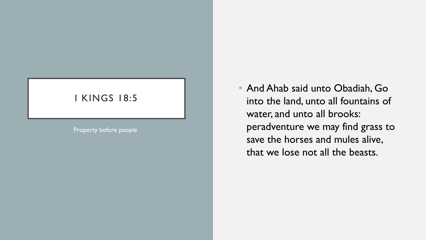#### I KINGS 18:5

Property before people

• And Ahab said unto Obadiah, Go into the land, unto all fountains of water, and unto all brooks: peradventure we may find grass to save the horses and mules alive, that we lose not all the beasts.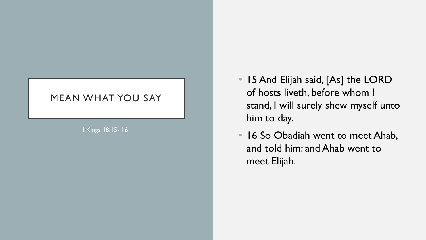#### MEAN WHAT YOU SAY

I Kings 18:15 - 16

- 15 And Elijah said, [As] the LORD of hosts liveth, before whom I stand, I will surely shew myself unto him to day.
- 16 So Obadiah went to meet Ahab, and told him: and Ahab went to meet Elijah.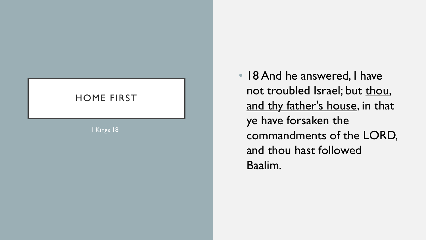### HOME FIRST

I Kings 18

• 18 And he answered, I have not troubled Israel; but thou, and thy father's house, in that ye have forsaken the commandments of the LORD, and thou hast followed Baalim .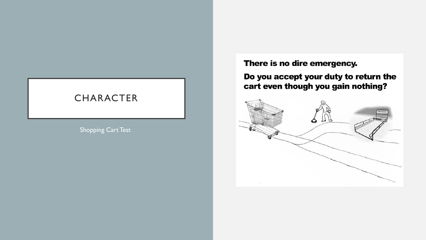#### **CHARACTER**

Shopping Cart Test

There is no dire emergency.

Do you accept your duty to return the cart even though you gain nothing?

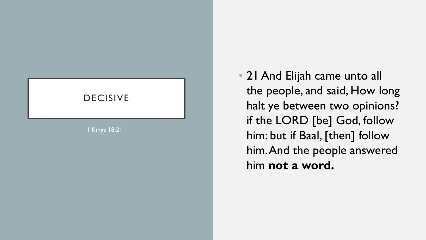# DECISIVE

I Kings 18:21

• 21 And Elijah came unto all the people, and said, How long halt ye between two opinions? if the LORD [be] God, follow him: but if Baal, [then] follow him. And the people answered him **not a word.**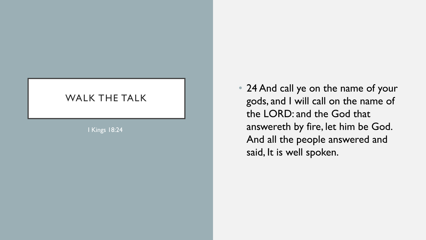#### WALK THE TALK

I Kings 18:24

• 24 And call ye on the name of your gods, and I will call on the name of the LORD: and the God that answereth by fire, let him be God. And all the people answered and said, It is well spoken.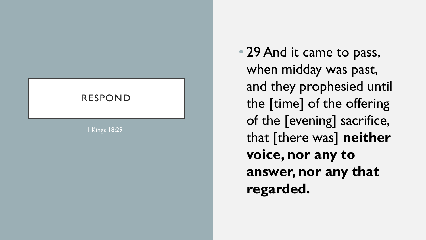## RESPOND

I Kings 18:29

• 29 And it came to pass, when midday was past, and they prophesied until the [time] of the offering of the [evening] sacrifice, that [there was] **neither voice, nor any to answer, nor any that regarded.**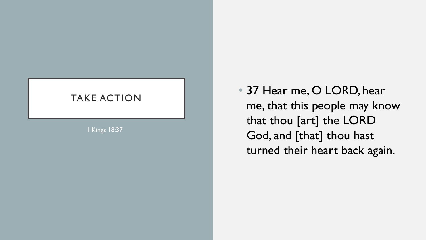#### TAKE ACTION

I Kings 18:37

• 37 Hear me, O LORD, hear me, that this people may know that thou [art] the LORD God, and [that] thou hast turned their heart back again.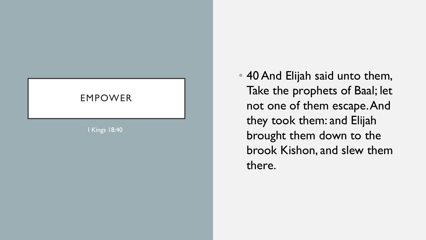# EMPOWER

I Kings 18:40

• 40 And Elijah said unto them, Take the prophets of Baal; let not one of them escape. And they took them: and Elijah brought them down to the brook Kishon, and slew them there.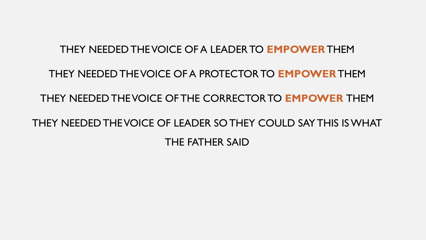#### THEY NEEDED THE VOICE OF A LEADER TO **EMPOWER**THEM

#### THEY NEEDED THE VOICE OF A PROTECTOR TO **EMPOWER**THEM

#### THEY NEEDED THE VOICE OF THE CORRECTOR TO **EMPOWER** THEM

# THEY NEEDED THE VOICE OF LEADER SO THEY COULD SAY THIS IS WHAT THE FATHER SAID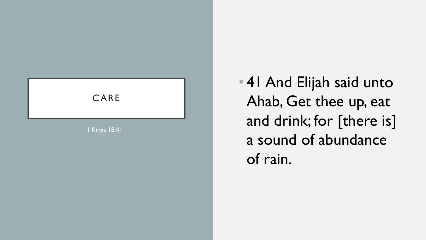

• 41 And Elijah said unto Ahab, Get thee up, eat and drink; for [there is] a sound of abundance of rain.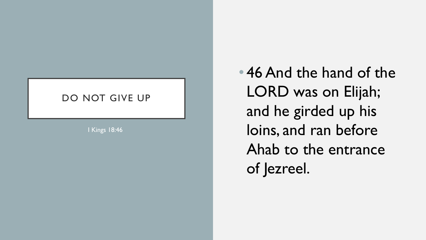#### DO NOT GIVE UP

I Kings 18:46

• 46 And the hand of the LORD was on Elijah; and he girded up his loins, and ran before Ahab to the entrance of Jezreel.